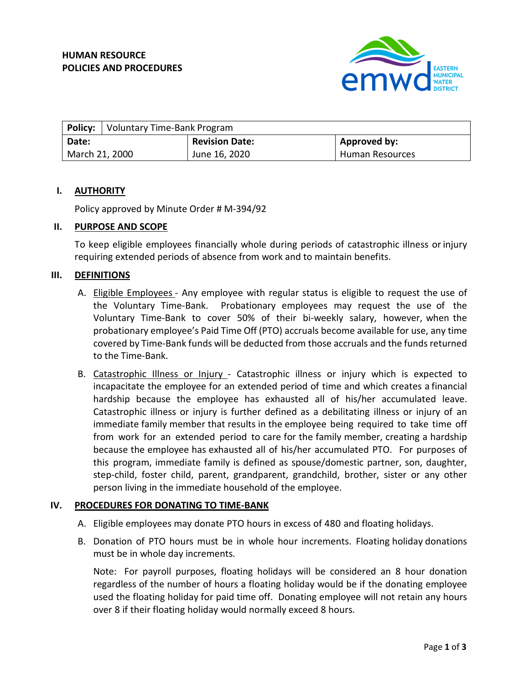

|                | <b>Policy:</b> Voluntary Time-Bank Program |                       |                 |
|----------------|--------------------------------------------|-----------------------|-----------------|
| Date:          |                                            | <b>Revision Date:</b> | Approved by:    |
| March 21, 2000 |                                            | June 16, 2020         | Human Resources |

## **I. AUTHORITY**

Policy approved by Minute Order # M-394/92

#### **II. PURPOSE AND SCOPE**

To keep eligible employees financially whole during periods of catastrophic illness or injury requiring extended periods of absence from work and to maintain benefits.

## **III. DEFINITIONS**

- A. Eligible Employees Any employee with regular status is eligible to request the use of the Voluntary Time-Bank. Probationary employees may request the use of the Voluntary Time-Bank to cover 50% of their bi-weekly salary, however, when the probationary employee's Paid Time Off (PTO) accruals become available for use, any time covered by Time-Bank funds will be deducted from those accruals and the fundsreturned to the Time-Bank.
- B. Catastrophic Illness or Injury Catastrophic illness or injury which is expected to incapacitate the employee for an extended period of time and which creates a financial hardship because the employee has exhausted all of his/her accumulated leave. Catastrophic illness or injury is further defined as a debilitating illness or injury of an immediate family member that results in the employee being required to take time off from work for an extended period to care for the family member, creating a hardship because the employee has exhausted all of his/her accumulated PTO. For purposes of this program, immediate family is defined as spouse/domestic partner, son, daughter, step-child, foster child, parent, grandparent, grandchild, brother, sister or any other person living in the immediate household of the employee.

# **IV. PROCEDURES FOR DONATING TO TIME-BANK**

- A. Eligible employees may donate PTO hours in excess of 480 and floating holidays.
- B. Donation of PTO hours must be in whole hour increments. Floating holiday donations must be in whole day increments.

Note: For payroll purposes, floating holidays will be considered an 8 hour donation regardless of the number of hours a floating holiday would be if the donating employee used the floating holiday for paid time off. Donating employee will not retain any hours over 8 if their floating holiday would normally exceed 8 hours.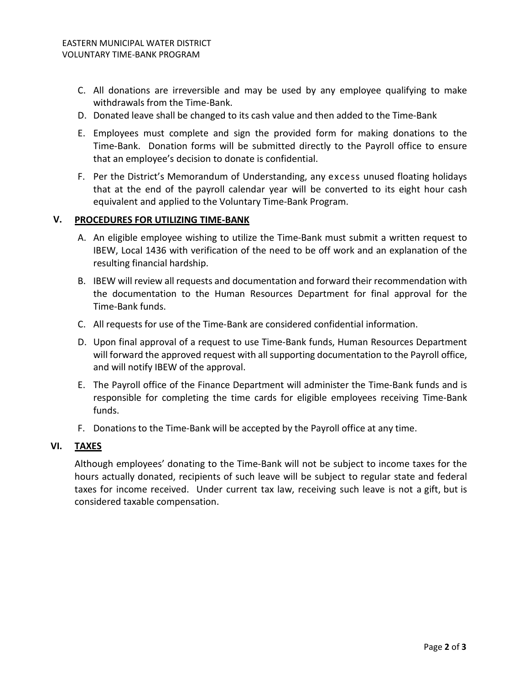- C. All donations are irreversible and may be used by any employee qualifying to make withdrawals from the Time-Bank.
- D. Donated leave shall be changed to its cash value and then added to the Time-Bank
- E. Employees must complete and sign the provided form for making donations to the Time-Bank. Donation forms will be submitted directly to the Payroll office to ensure that an employee's decision to donate is confidential.
- F. Per the District's Memorandum of Understanding, any excess unused floating holidays that at the end of the payroll calendar year will be converted to its eight hour cash equivalent and applied to the Voluntary Time-Bank Program.

## **V. PROCEDURES FOR UTILIZING TIME-BANK**

- A. An eligible employee wishing to utilize the Time-Bank must submit a written request to IBEW, Local 1436 with verification of the need to be off work and an explanation of the resulting financial hardship.
- B. IBEW will review all requests and documentation and forward their recommendation with the documentation to the Human Resources Department for final approval for the Time-Bank funds.
- C. All requests for use of the Time-Bank are considered confidential information.
- D. Upon final approval of a request to use Time-Bank funds, Human Resources Department will forward the approved request with all supporting documentation to the Payroll office, and will notify IBEW of the approval.
- E. The Payroll office of the Finance Department will administer the Time-Bank funds and is responsible for completing the time cards for eligible employees receiving Time-Bank funds.
- F. Donations to the Time-Bank will be accepted by the Payroll office at any time.

#### **VI. TAXES**

Although employees' donating to the Time-Bank will not be subject to income taxes for the hours actually donated, recipients of such leave will be subject to regular state and federal taxes for income received. Under current tax law, receiving such leave is not a gift, but is considered taxable compensation.